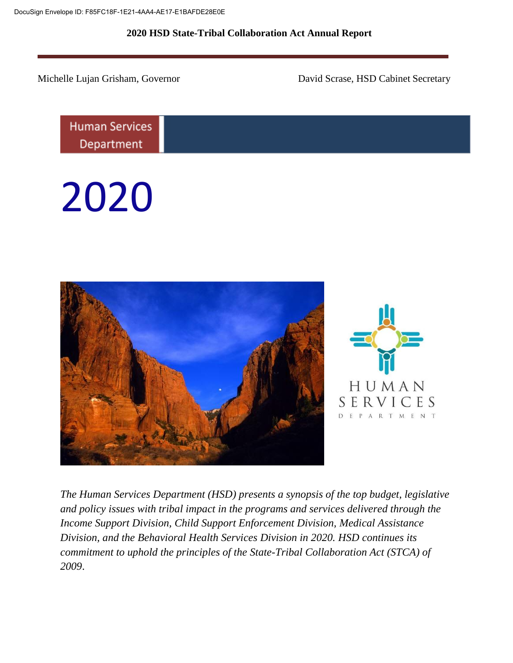Michelle Lujan Grisham, Governor David Scrase, HSD Cabinet Secretary

**Human Services** Department

2020





*The Human Services Department (HSD) presents a synopsis of the top budget, legislative and policy issues with tribal impact in the programs and services delivered through the Income Support Division, Child Support Enforcement Division, Medical Assistance Division, and the Behavioral Health Services Division in 2020. HSD continues its commitment to uphold the principles of the State-Tribal Collaboration Act (STCA) of 2009*.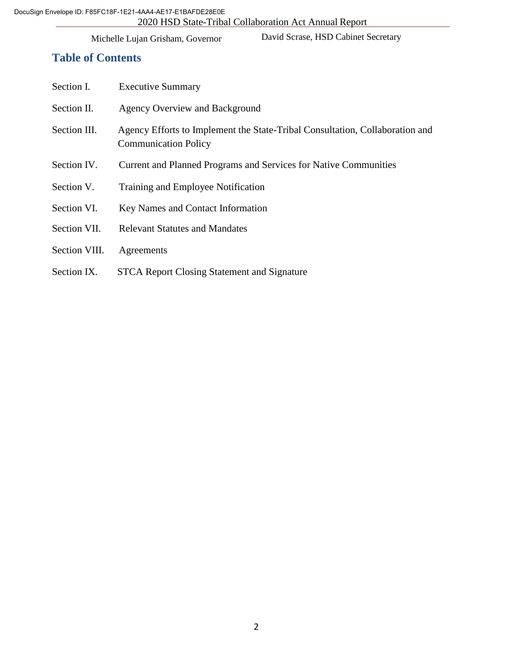David Scrase, HSD Cabinet Secretary

# **Table of Contents**

| Section I.    | <b>Executive Summary</b>                                                                                    |
|---------------|-------------------------------------------------------------------------------------------------------------|
| Section II.   | Agency Overview and Background                                                                              |
| Section III.  | Agency Efforts to Implement the State-Tribal Consultation, Collaboration and<br><b>Communication Policy</b> |
| Section IV.   | Current and Planned Programs and Services for Native Communities                                            |
| Section V.    | Training and Employee Notification                                                                          |
| Section VI.   | Key Names and Contact Information                                                                           |
| Section VII.  | <b>Relevant Statutes and Mandates</b>                                                                       |
| Section VIII. | Agreements                                                                                                  |
| Section IX.   | <b>STCA Report Closing Statement and Signature</b>                                                          |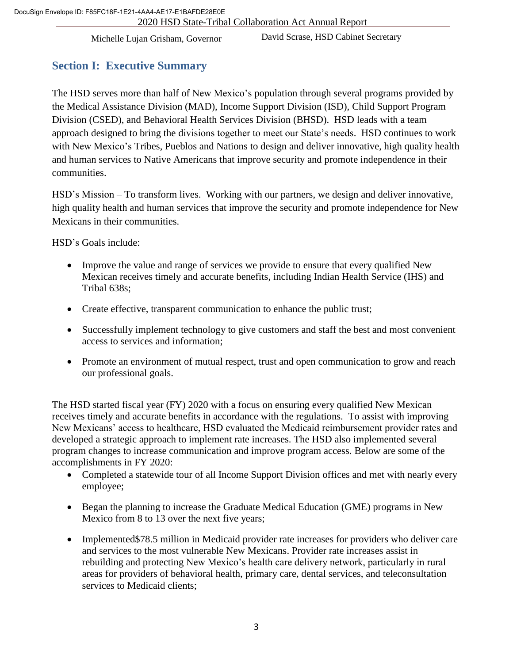David Scrase, HSD Cabinet Secretary

# **Section I: Executive Summary**

The HSD serves more than half of New Mexico's population through several programs provided by the Medical Assistance Division (MAD), Income Support Division (ISD), Child Support Program Division (CSED), and Behavioral Health Services Division (BHSD). HSD leads with a team approach designed to bring the divisions together to meet our State's needs. HSD continues to work with New Mexico's Tribes, Pueblos and Nations to design and deliver innovative, high quality health and human services to Native Americans that improve security and promote independence in their communities.

HSD's Mission – To transform lives. Working with our partners, we design and deliver innovative, high quality health and human services that improve the security and promote independence for New Mexicans in their communities.

HSD's Goals include:

- Improve the value and range of services we provide to ensure that every qualified New Mexican receives timely and accurate benefits, including Indian Health Service (IHS) and Tribal 638s;
- Create effective, transparent communication to enhance the public trust;
- Successfully implement technology to give customers and staff the best and most convenient access to services and information;
- Promote an environment of mutual respect, trust and open communication to grow and reach our professional goals.

The HSD started fiscal year (FY) 2020 with a focus on ensuring every qualified New Mexican receives timely and accurate benefits in accordance with the regulations. To assist with improving New Mexicans' access to healthcare, HSD evaluated the Medicaid reimbursement provider rates and developed a strategic approach to implement rate increases. The HSD also implemented several program changes to increase communication and improve program access. Below are some of the accomplishments in FY 2020:

- Completed a statewide tour of all Income Support Division offices and met with nearly every employee;
- Began the planning to increase the Graduate Medical Education (GME) programs in New Mexico from 8 to 13 over the next five years;
- Implemented \$78.5 million in Medicaid provider rate increases for providers who deliver care and services to the most vulnerable New Mexicans. Provider rate increases assist in rebuilding and protecting New Mexico's health care delivery network, particularly in rural areas for providers of behavioral health, primary care, dental services, and teleconsultation services to Medicaid clients;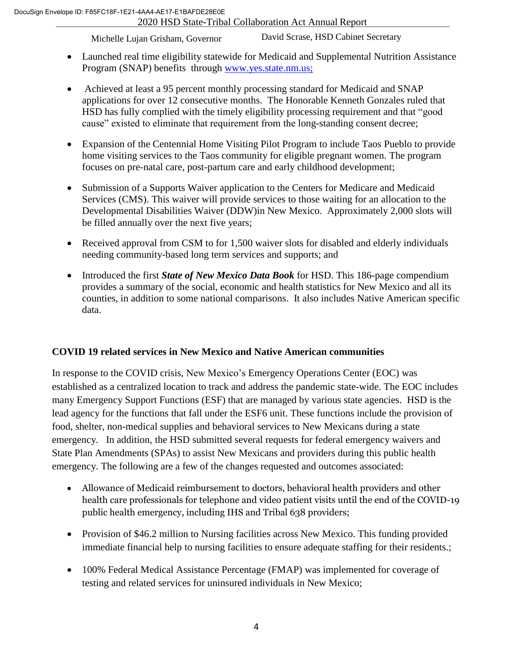Michelle Lujan Grisham, Governor

David Scrase, HSD Cabinet Secretary

- Launched real time eligibility statewide for Medicaid and Supplemental Nutrition Assistance Program (SNAP) benefits through [www.yes.state.nm.us;](http://www.yes.state.nm.us/)
- Achieved at least a 95 percent monthly processing standard for Medicaid and SNAP applications for over 12 consecutive months. The Honorable Kenneth Gonzales ruled that HSD has fully complied with the timely eligibility processing requirement and that "good cause" existed to eliminate that requirement from the long-standing consent decree;
- Expansion of the Centennial Home Visiting Pilot Program to include Taos Pueblo to provide home visiting services to the Taos community for eligible pregnant women. The program focuses on pre-natal care, post-partum care and early childhood development;
- Submission of a Supports Waiver application to the Centers for Medicare and Medicaid Services (CMS). This waiver will provide services to those waiting for an allocation to the Developmental Disabilities Waiver (DDW)in New Mexico. Approximately 2,000 slots will be filled annually over the next five years;
- Received approval from CSM to for 1,500 waiver slots for disabled and elderly individuals needing community-based long term services and supports; and
- Introduced the first *State of New Mexico Data Book* for HSD. This 186-page compendium provides a summary of the social, economic and health statistics for New Mexico and all its counties, in addition to some national comparisons. It also includes Native American specific data.

# **COVID 19 related services in New Mexico and Native American communities**

In response to the COVID crisis, New Mexico's Emergency Operations Center (EOC) was established as a centralized location to track and address the pandemic state-wide. The EOC includes many Emergency Support Functions (ESF) that are managed by various state agencies. HSD is the lead agency for the functions that fall under the ESF6 unit. These functions include the provision of food, shelter, non-medical supplies and behavioral services to New Mexicans during a state emergency. In addition, the HSD submitted several requests for federal emergency waivers and State Plan Amendments (SPAs) to assist New Mexicans and providers during this public health emergency. The following are a few of the changes requested and outcomes associated:

- Allowance of Medicaid reimbursement to doctors, behavioral health providers and other health care professionals for telephone and video patient visits until the end of the COVID-19 public health emergency, including IHS and Tribal 638 providers;
- Provision of \$46.2 million to Nursing facilities across New Mexico. This funding provided immediate financial help to nursing facilities to ensure adequate staffing for their residents.;
- 100% Federal Medical Assistance Percentage (FMAP) was implemented for coverage of testing and related services for uninsured individuals in New Mexico;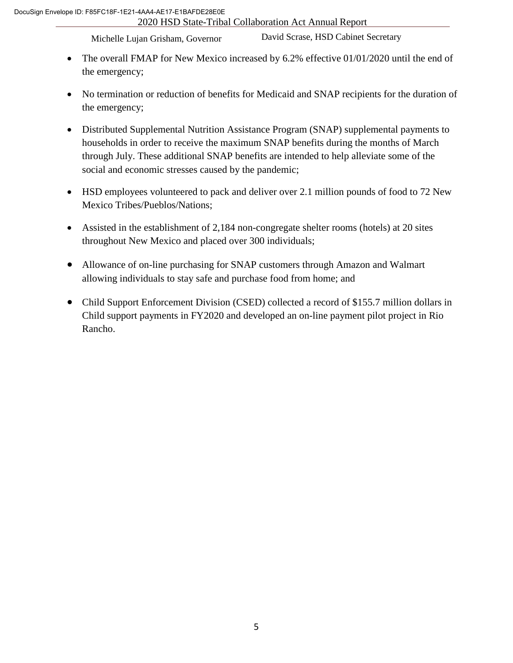Michelle Lujan Grisham, Governor

David Scrase, HSD Cabinet Secretary

- The overall FMAP for New Mexico increased by 6.2% effective 01/01/2020 until the end of the emergency;
- No termination or reduction of benefits for Medicaid and SNAP recipients for the duration of the emergency;
- Distributed Supplemental Nutrition Assistance Program (SNAP) supplemental payments to households in order to receive the maximum SNAP benefits during the months of March through July. These additional SNAP benefits are intended to help alleviate some of the social and economic stresses caused by the pandemic;
- HSD employees volunteered to pack and deliver over 2.1 million pounds of food to 72 New Mexico Tribes/Pueblos/Nations;
- Assisted in the establishment of 2,184 non-congregate shelter rooms (hotels) at 20 sites throughout New Mexico and placed over 300 individuals;
- Allowance of on-line purchasing for SNAP customers through Amazon and Walmart allowing individuals to stay safe and purchase food from home; and
- Child Support Enforcement Division (CSED) collected a record of \$155.7 million dollars in Child support payments in FY2020 and developed an on-line payment pilot project in Rio Rancho.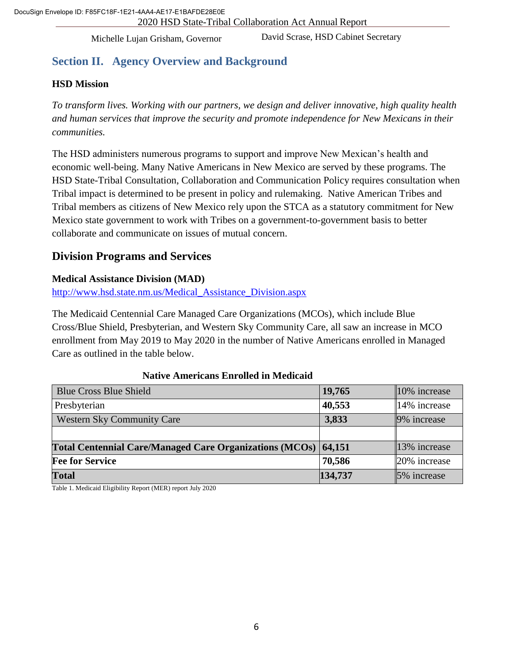David Scrase, HSD Cabinet Secretary

# **Section II. Agency Overview and Background**

# **HSD Mission**

*To transform lives. Working with our partners, we design and deliver innovative, high quality health and human services that improve the security and promote independence for New Mexicans in their communities.*

The HSD administers numerous programs to support and improve New Mexican's health and economic well-being. Many Native Americans in New Mexico are served by these programs. The HSD State-Tribal Consultation, Collaboration and Communication Policy requires consultation when Tribal impact is determined to be present in policy and rulemaking. Native American Tribes and Tribal members as citizens of New Mexico rely upon the STCA as a statutory commitment for New Mexico state government to work with Tribes on a government-to-government basis to better collaborate and communicate on issues of mutual concern.

# **Division Programs and Services**

# **Medical Assistance Division (MAD)**

[http://www.hsd.state.nm.us/Medical\\_Assistance\\_Division.aspx](http://www.hsd.state.nm.us/Medical_Assistance_Division.aspx)

The Medicaid Centennial Care Managed Care Organizations (MCOs), which include Blue Cross/Blue Shield, Presbyterian, and Western Sky Community Care, all saw an increase in MCO enrollment from May 2019 to May 2020 in the number of Native Americans enrolled in Managed Care as outlined in the table below.

#### **Native Americans Enrolled in Medicaid**

| <b>Blue Cross Blue Shield</b>                                  | 19,765  | $10\%$ increase |
|----------------------------------------------------------------|---------|-----------------|
| Presbyterian                                                   | 40,553  | 14% increase    |
| <b>Western Sky Community Care</b>                              | 3,833   | 9% increase     |
|                                                                |         |                 |
| Total Centennial Care/Managed Care Organizations (MCOs) 64,151 |         | 13% increase    |
| <b>Fee for Service</b>                                         | 70,586  | 20% increase    |
| <b>Total</b>                                                   | 134,737 | 5% increase     |

Table 1. Medicaid Eligibility Report (MER) report July 2020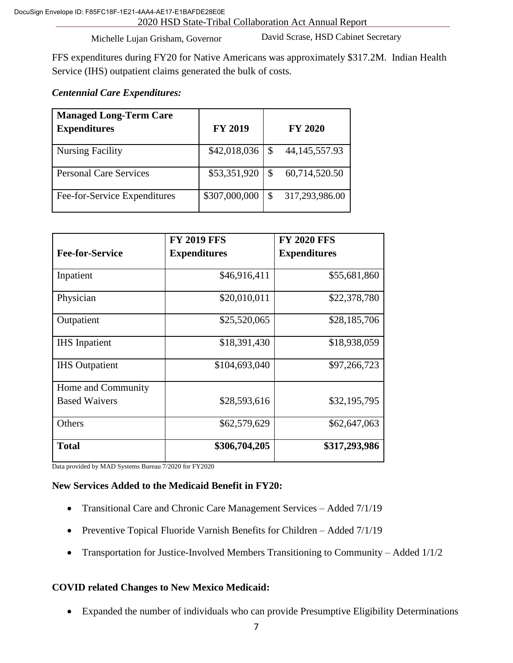David Scrase, HSD Cabinet Secretary

FFS expenditures during FY20 for Native Americans was approximately \$317.2M. Indian Health Service (IHS) outpatient claims generated the bulk of costs.

# *Centennial Care Expenditures:*

| <b>Managed Long-Term Care</b><br><b>Expenditures</b> | <b>FY 2019</b> |               | <b>FY 2020</b>   |
|------------------------------------------------------|----------------|---------------|------------------|
| <b>Nursing Facility</b>                              | \$42,018,036   | S             | 44, 145, 557. 93 |
| <b>Personal Care Services</b>                        | \$53,351,920   | S             | 60,714,520.50    |
| Fee-for-Service Expenditures                         | \$307,000,000  | <sup>\$</sup> | 317,293,986.00   |

|                        | <b>FY 2019 FFS</b>  | <b>FY 2020 FFS</b>  |
|------------------------|---------------------|---------------------|
| <b>Fee-for-Service</b> | <b>Expenditures</b> | <b>Expenditures</b> |
| Inpatient              | \$46,916,411        | \$55,681,860        |
| Physician              | \$20,010,011        | \$22,378,780        |
| Outpatient             | \$25,520,065        | \$28,185,706        |
| <b>IHS</b> Inpatient   | \$18,391,430        | \$18,938,059        |
| <b>IHS</b> Outpatient  | \$104,693,040       | \$97,266,723        |
| Home and Community     |                     |                     |
| <b>Based Waivers</b>   | \$28,593,616        | \$32,195,795        |
| Others                 | \$62,579,629        | \$62,647,063        |
| <b>Total</b>           | \$306,704,205       | \$317,293,986       |

Data provided by MAD Systems Bureau 7/2020 for FY2020

#### **New Services Added to the Medicaid Benefit in FY20:**

- Transitional Care and Chronic Care Management Services Added 7/1/19
- Preventive Topical Fluoride Varnish Benefits for Children Added 7/1/19
- Transportation for Justice-Involved Members Transitioning to Community Added 1/1/2

#### **COVID related Changes to New Mexico Medicaid:**

Expanded the number of individuals who can provide Presumptive Eligibility Determinations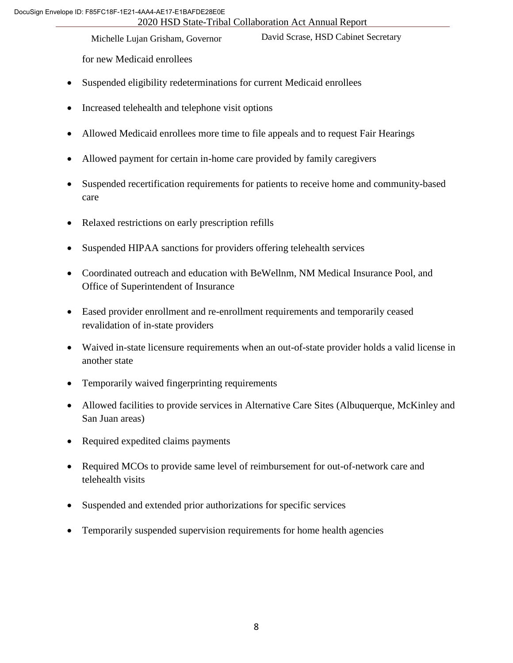Michelle Lujan Grisham, Governor

David Scrase, HSD Cabinet Secretary

for new Medicaid enrollees

- Suspended eligibility redeterminations for current Medicaid enrollees
- Increased telehealth and telephone visit options
- Allowed Medicaid enrollees more time to file appeals and to request Fair Hearings
- Allowed payment for certain in-home care provided by family caregivers
- Suspended recertification requirements for patients to receive home and community-based care
- Relaxed restrictions on early prescription refills
- Suspended HIPAA sanctions for providers offering telehealth services
- Coordinated outreach and education with BeWellnm, NM Medical Insurance Pool, and Office of Superintendent of Insurance
- Eased provider enrollment and re-enrollment requirements and temporarily ceased revalidation of in-state providers
- Waived in-state licensure requirements when an out-of-state provider holds a valid license in another state
- Temporarily waived fingerprinting requirements
- Allowed facilities to provide services in Alternative Care Sites (Albuquerque, McKinley and San Juan areas)
- Required expedited claims payments
- Required MCOs to provide same level of reimbursement for out-of-network care and telehealth visits
- Suspended and extended prior authorizations for specific services
- Temporarily suspended supervision requirements for home health agencies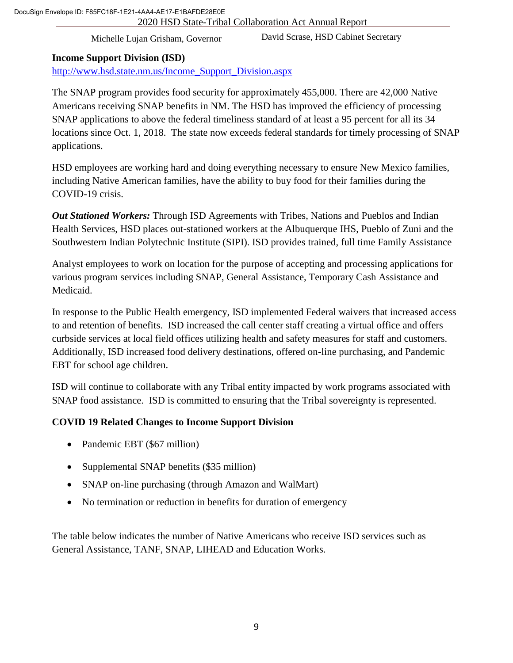David Scrase, HSD Cabinet Secretary

# **Income Support Division (ISD)**

[http://www.hsd.state.nm.us/Income\\_Support\\_Division.aspx](http://www.hsd.state.nm.us/Income_Support_Division.aspx)

The SNAP program provides food security for approximately 455,000. There are 42,000 Native Americans receiving SNAP benefits in NM. The HSD has improved the efficiency of processing SNAP applications to above the federal timeliness standard of at least a 95 percent for all its 34 locations since Oct. 1, 2018. The state now exceeds federal standards for timely processing of SNAP applications.

HSD employees are working hard and doing everything necessary to ensure New Mexico families, including Native American families, have the ability to buy food for their families during the COVID-19 crisis.

*Out Stationed Workers:* Through ISD Agreements with Tribes, Nations and Pueblos and Indian Health Services, HSD places out-stationed workers at the Albuquerque IHS, Pueblo of Zuni and the Southwestern Indian Polytechnic Institute (SIPI). ISD provides trained, full time Family Assistance

Analyst employees to work on location for the purpose of accepting and processing applications for various program services including SNAP, General Assistance, Temporary Cash Assistance and Medicaid.

In response to the Public Health emergency, ISD implemented Federal waivers that increased access to and retention of benefits. ISD increased the call center staff creating a virtual office and offers curbside services at local field offices utilizing health and safety measures for staff and customers. Additionally, ISD increased food delivery destinations, offered on-line purchasing, and Pandemic EBT for school age children.

ISD will continue to collaborate with any Tribal entity impacted by work programs associated with SNAP food assistance. ISD is committed to ensuring that the Tribal sovereignty is represented.

# **COVID 19 Related Changes to Income Support Division**

- Pandemic EBT (\$67 million)
- Supplemental SNAP benefits (\$35 million)
- SNAP on-line purchasing (through Amazon and WalMart)
- No termination or reduction in benefits for duration of emergency

The table below indicates the number of Native Americans who receive ISD services such as General Assistance, TANF, SNAP, LIHEAD and Education Works.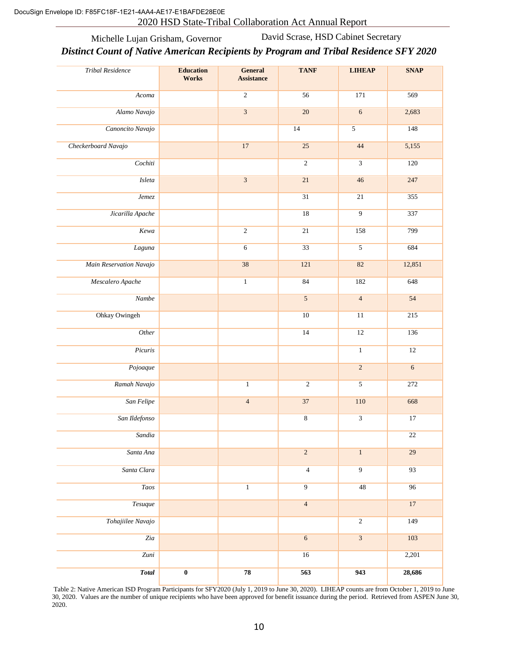Michelle Lujan Grisham, Governor David Scrase, HSD Cabinet Secretary

#### *Distinct Count of Native American Recipients by Program and Tribal Residence SFY 2020*

| <b>Tribal Residence</b> | <b>Education</b><br>Works | <b>General</b><br><b>Assistance</b> | <b>TANF</b>             | <b>LIHEAP</b>           | <b>SNAP</b>     |
|-------------------------|---------------------------|-------------------------------------|-------------------------|-------------------------|-----------------|
| Acoma                   |                           | $\overline{2}$                      | 56                      | 171                     | 569             |
| Alamo Navajo            |                           | $\overline{\mathbf{3}}$             | $\overline{20}$         | $\sqrt{6}$              | 2,683           |
| Canoncito Navajo        |                           |                                     | 14                      | $\overline{5}$          | 148             |
| Checkerboard Navajo     |                           | 17                                  | 25                      | 44                      | 5,155           |
| Cochiti                 |                           |                                     | $\sqrt{2}$              | $\mathfrak{Z}$          | 120             |
| $\it Isleta$            |                           | $\overline{\mathbf{3}}$             | $21\,$                  | 46                      | 247             |
| Jemez                   |                           |                                     | $\overline{31}$         | $\overline{21}$         | 355             |
| Jicarilla Apache        |                           |                                     | 18                      | $\overline{9}$          | 337             |
| Kewa                    |                           | $\overline{2}$                      | $\overline{21}$         | 158                     | 799             |
| Laguna                  |                           | $\epsilon$                          | $\overline{33}$         | $\overline{5}$          | 684             |
| Main Reservation Navajo |                           | 38                                  | 121                     | 82                      | 12,851          |
| Mescalero Apache        |                           | $\overline{1}$                      | 84                      | 182                     | 648             |
| Nambe                   |                           |                                     | $\overline{\mathbf{5}}$ | $\overline{4}$          | $\overline{54}$ |
| <b>Ohkay Owingeh</b>    |                           |                                     | 10                      | 11                      | 215             |
| Other                   |                           |                                     | 14                      | 12                      | 136             |
| Picuris                 |                           |                                     |                         | $\mathbf{1}$            | 12              |
| Pojoaque                |                           |                                     |                         | $\overline{2}$          | $\overline{6}$  |
| Ramah Navajo            |                           | $\overline{1}$                      | $\overline{2}$          | $\overline{5}$          | 272             |
| San Felipe              |                           | $\overline{4}$                      | 37                      | 110                     | 668             |
| San Ildefonso           |                           |                                     | $\,8\,$                 | $\mathfrak{Z}$          | 17              |
| Sandia                  |                           |                                     |                         |                         | 22              |
| Santa Ana               |                           |                                     | $\overline{2}$          | $\,1$                   | $\overline{29}$ |
| Santa Clara             |                           |                                     | $\overline{4}$          | $\overline{9}$          | 93              |
| <b>Taos</b>             |                           | $\overline{1}$                      | $\overline{9}$          | 48                      | 96              |
| <b>Tesuque</b>          |                           |                                     | $\overline{4}$          |                         | 17              |
| Tohajiilee Navajo       |                           |                                     |                         | $\overline{2}$          | 149             |
| Zia                     |                           |                                     | $\overline{6}$          | $\overline{\mathbf{3}}$ | 103             |
| Zuni                    |                           |                                     | 16                      |                         | 2,201           |
| <b>Total</b>            | $\overline{\mathbf{0}}$   | 78                                  | 563                     | 943                     | 28,686          |

Table 2: Native American ISD Program Participants for SFY2020 (July 1, 2019 to June 30, 2020). LIHEAP counts are from October 1, 2019 to June 30, 2020. Values are the number of unique recipients who have been approved for benefit issuance during the period. Retrieved from ASPEN June 30, 2020.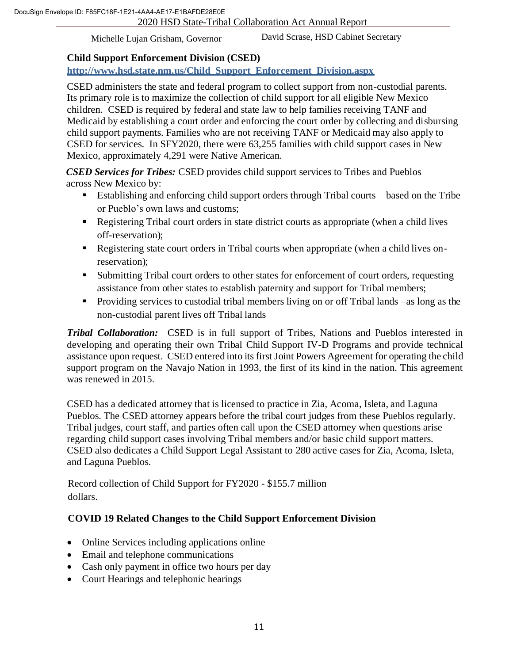David Scrase, HSD Cabinet Secretary

# **Child Support Enforcement Division (CSED)**

**http://www.hsd.state.nm.us/Child\_Support\_Enforcement\_Division.aspx**

CSED administers the state and federal program to collect support from non-custodial parents. Its primary role is to maximize the collection of child support for all eligible New Mexico children. CSED is required by federal and state law to help families receiving TANF and Medicaid by establishing a court order and enforcing the court order by collecting and disbursing child support payments. Families who are not receiving TANF or Medicaid may also apply to CSED for services. In SFY2020, there were 63,255 families with child support cases in New Mexico, approximately 4,291 were Native American.

*CSED Services for Tribes:* CSED provides child support services to Tribes and Pueblos across New Mexico by:

- Establishing and enforcing child support orders through Tribal courts based on the Tribe or Pueblo's own laws and customs;
- Registering Tribal court orders in state district courts as appropriate (when a child lives off-reservation);
- Registering state court orders in Tribal courts when appropriate (when a child lives onreservation);
- Submitting Tribal court orders to other states for enforcement of court orders, requesting assistance from other states to establish paternity and support for Tribal members;
- **Providing services to custodial tribal members living on or off Tribal lands** –as long as the non-custodial parent lives off Tribal lands

*Tribal Collaboration:* CSED is in full support of Tribes, Nations and Pueblos interested in developing and operating their own Tribal Child Support IV-D Programs and provide technical assistance upon request. CSED entered into its first Joint Powers Agreement for operating the child support program on the Navajo Nation in 1993, the first of its kind in the nation. This agreement was renewed in 2015.

CSED has a dedicated attorney that is licensed to practice in Zia, Acoma, Isleta, and Laguna Pueblos. The CSED attorney appears before the tribal court judges from these Pueblos regularly. Tribal judges, court staff, and parties often call upon the CSED attorney when questions arise regarding child support cases involving Tribal members and/or basic child support matters. CSED also dedicates a Child Support Legal Assistant to 280 active cases for Zia, Acoma, Isleta, and Laguna Pueblos.

Record collection of Child Support for FY2020 - \$155.7 million dollars.

# **COVID 19 Related Changes to the Child Support Enforcement Division**

- Online Services including applications online
- Email and telephone communications
- Cash only payment in office two hours per day
- Court Hearings and telephonic hearings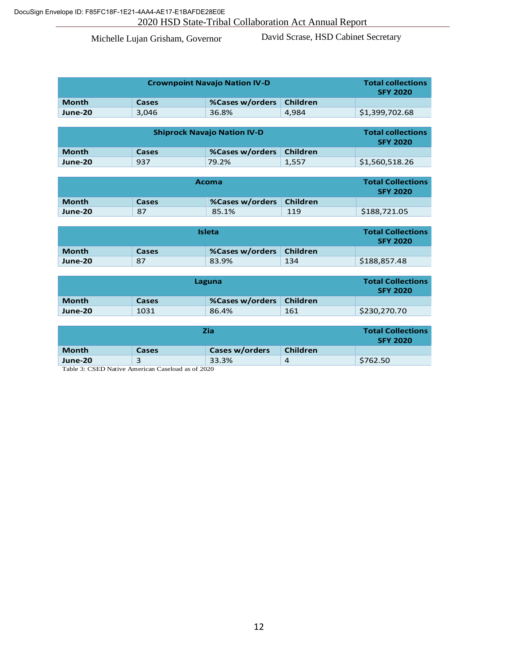David Scrase, HSD Cabinet Secretary

| <b>Crownpoint Navajo Nation IV-D</b> |       |                          |       | <b>Total collections</b><br><b>SFY 2020</b> |
|--------------------------------------|-------|--------------------------|-------|---------------------------------------------|
| <b>Month</b>                         | Cases | %Cases w/orders Children |       |                                             |
| June-20                              | 3.046 | 36.8%                    | 4.984 | \$1,399,702.68                              |

| <b>Shiprock Navajo Nation IV-D</b> |       |                            |       | <b>Total collections</b><br><b>SFY 2020</b> |
|------------------------------------|-------|----------------------------|-------|---------------------------------------------|
| <b>Month</b>                       | Cases | %Cases w/orders   Children |       |                                             |
| June-20                            | 937   | 79.2%                      | 1,557 | \$1,560,518.26                              |

| <b>Acoma</b> |              |                          |     | <b>Total Collections</b><br><b>SFY 2020</b> |
|--------------|--------------|--------------------------|-----|---------------------------------------------|
| <b>Month</b> | <b>Cases</b> | %Cases w/orders Children |     |                                             |
| June-20      | 87           | 85.1%                    | 119 | \$188,721.05                                |

| <b>Isleta</b> |       |                            |     | <b>Total Collections</b><br><b>SFY 2020</b> |
|---------------|-------|----------------------------|-----|---------------------------------------------|
| <b>Month</b>  | Cases | %Cases w/orders   Children |     |                                             |
| June-20       | 87    | 83.9%                      | 134 | \$188,857.48                                |

|              | <b>Total Collections</b><br><b>SFY 2020</b> |                          |     |              |
|--------------|---------------------------------------------|--------------------------|-----|--------------|
| <b>Month</b> | Cases                                       | %Cases w/orders Children |     |              |
| June-20      | 1031                                        | 86.4%                    | 161 | \$230,270.70 |

|              | <b>Total Collections</b><br><b>SFY 2020</b> |                |                 |          |
|--------------|---------------------------------------------|----------------|-----------------|----------|
| <b>Month</b> | Cases                                       | Cases w/orders | <b>Children</b> |          |
| June-20      |                                             | 33.3%          | 4               | \$762.50 |

Table 3: CSED Native American Caseload as of 2020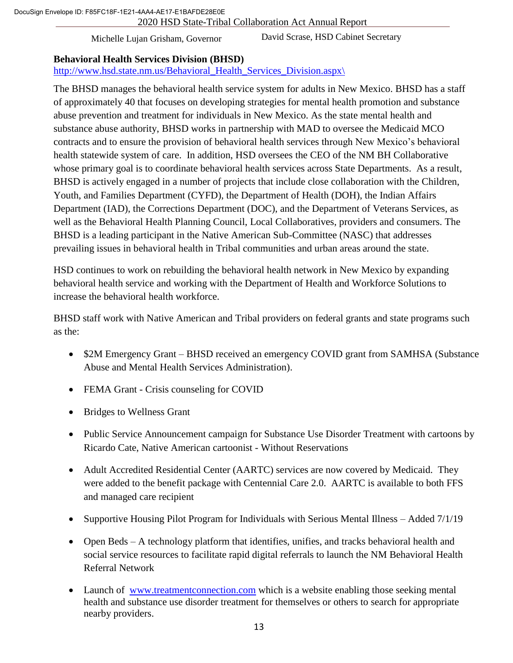2020 HSD State-Tribal Collaboration Act Annual Report 9 DocuSign Envelope ID: F85FC18F-1E21-4AA4-AE17-E1BAFDE28E0E

Michelle Lujan Grisham, Governor

David Scrase, HSD Cabinet Secretary

#### **Behavioral Health Services Division (BHSD)**

http://www.hsd.state.nm.us/Behavioral Health Services Division.aspx\

The BHSD manages the behavioral health service system for adults in New Mexico. BHSD has a staff of approximately 40 that focuses on developing strategies for mental health promotion and substance abuse prevention and treatment for individuals in New Mexico. As the state mental health and substance abuse authority, BHSD works in partnership with MAD to oversee the Medicaid MCO contracts and to ensure the provision of behavioral health services through New Mexico's behavioral health statewide system of care. In addition, HSD oversees the CEO of the NM BH Collaborative whose primary goal is to coordinate behavioral health services across State Departments. As a result, BHSD is actively engaged in a number of projects that include close collaboration with the Children, Youth, and Families Department (CYFD), the Department of Health (DOH), the Indian Affairs Department (IAD), the Corrections Department (DOC), and the Department of Veterans Services, as well as the Behavioral Health Planning Council, Local Collaboratives, providers and consumers. The BHSD is a leading participant in the Native American Sub-Committee (NASC) that addresses prevailing issues in behavioral health in Tribal communities and urban areas around the state.

HSD continues to work on rebuilding the behavioral health network in New Mexico by expanding behavioral health service and working with the Department of Health and Workforce Solutions to increase the behavioral health workforce.

BHSD staff work with Native American and Tribal providers on federal grants and state programs such as the:

- \$2M Emergency Grant BHSD received an emergency COVID grant from SAMHSA (Substance Abuse and Mental Health Services Administration).
- FEMA Grant Crisis counseling for COVID
- Bridges to Wellness Grant
- Public Service Announcement campaign for Substance Use Disorder Treatment with cartoons by Ricardo Cate, Native American cartoonist - Without Reservations
- Adult Accredited Residential Center (AARTC) services are now covered by Medicaid. They were added to the benefit package with Centennial Care 2.0. AARTC is available to both FFS and managed care recipient
- Supportive Housing Pilot Program for Individuals with Serious Mental Illness Added 7/1/19
- Open Beds A technology platform that identifies, unifies, and tracks behavioral health and social service resources to facilitate rapid digital referrals to launch the NM Behavioral Health Referral Network
- Launch of [www.treatmentconnection.com](http://www.treatmentconnection.com/) which is a website enabling those seeking mental health and substance use disorder treatment for themselves or others to search for appropriate nearby providers.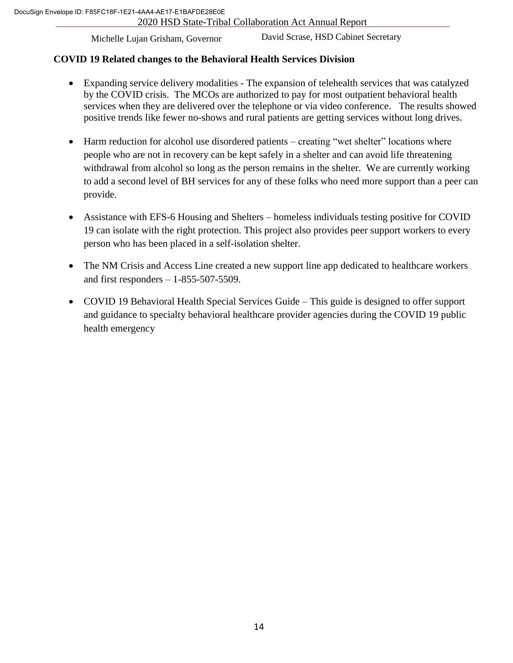David Scrase, HSD Cabinet Secretary

# **COVID 19 Related changes to the Behavioral Health Services Division**

- Expanding service delivery modalities The expansion of telehealth services that was catalyzed by the COVID crisis. The MCOs are authorized to pay for most outpatient behavioral health services when they are delivered over the telephone or via video conference. The results showed positive trends like fewer no-shows and rural patients are getting services without long drives.
- Harm reduction for alcohol use disordered patients creating "wet shelter" locations where people who are not in recovery can be kept safely in a shelter and can avoid life threatening withdrawal from alcohol so long as the person remains in the shelter. We are currently working to add a second level of BH services for any of these folks who need more support than a peer can provide.
- Assistance with EFS-6 Housing and Shelters homeless individuals testing positive for COVID 19 can isolate with the right protection. This project also provides peer support workers to every person who has been placed in a self-isolation shelter.
- The NM Crisis and Access Line created a new support line app dedicated to healthcare workers and first responders – 1-855-507-5509.
- COVID 19 Behavioral Health Special Services Guide This guide is designed to offer support and guidance to specialty behavioral healthcare provider agencies during the COVID 19 public health emergency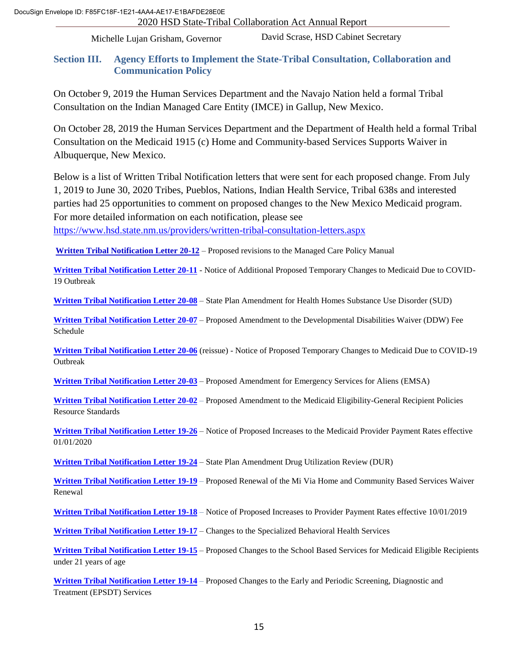David Scrase, HSD Cabinet Secretary

#### **Section III. Agency Efforts to Implement the State-Tribal Consultation, Collaboration and Communication Policy**

On October 9, 2019 the Human Services Department and the Navajo Nation held a formal Tribal Consultation on the Indian Managed Care Entity (IMCE) in Gallup, New Mexico.

On October 28, 2019 the Human Services Department and the Department of Health held a formal Tribal Consultation on the Medicaid 1915 (c) Home and Community-based Services Supports Waiver in Albuquerque, New Mexico.

Below is a list of Written Tribal Notification letters that were sent for each proposed change. From July 1, 2019 to June 30, 2020 Tribes, Pueblos, Nations, Indian Health Service, Tribal 638s and interested parties had 25 opportunities to comment on proposed changes to the New Mexico Medicaid program. For more detailed information on each notification, please see

<https://www.hsd.state.nm.us/providers/written-tribal-consultation-letters.aspx>

**[Written Tribal Notification Letter 20-12](https://www.hsd.state.nm.us/uploads/files/Providers/Native%20Americans/Written%20Tribal%20Consultation%20Letters/2020%20WTCL%20and%20Attachments/WTL%2020-12.pdf)** – Proposed revisions to the Managed Care Policy Manual

**[Written Tribal Notification Letter 20-11](https://www.hsd.state.nm.us/uploads/files/Providers/Native%20Americans/Written%20Tribal%20Consultation%20Letters/2020%20WTCL%20and%20Attachments/TN%20%2320-11%20Additional%20prop%20med%20changes%20CoVid.pdf)** - Notice of Additional Proposed Temporary Changes to Medicaid Due to COVID-19 Outbreak

**[Written Tribal Notification Letter 20-08](https://www.hsd.state.nm.us/uploads/files/Providers/Native%20Americans/Written%20Tribal%20Consultation%20Letters/2020%20WTCL%20and%20Attachments/20-0001%20Health%20Homes%20SUD%20TN%2020-08(1).pdf)** – State Plan Amendment for Health Homes Substance Use Disorder (SUD)

**[Written Tribal Notification Letter 20-07](https://www.hsd.state.nm.us/uploads/files/Providers/Native%20Americans/Written%20Tribal%20Consultation%20Letters/2020%20WTCL%20and%20Attachments/DDW%20AMENd%20TN%2020-07.pdf)** – Proposed Amendment to the Developmental Disabilities Waiver (DDW) Fee Schedule

**[Written Tribal Notification Letter 20-06](https://www.hsd.state.nm.us/uploads/files/Providers/Native%20Americans/Written%20Tribal%20Consultation%20Letters/2020%20WTCL%20and%20Attachments/TN%2020-06%20ProposedChanges%2052920.pdf)** (reissue) - Notice of Proposed Temporary Changes to Medicaid Due to COVID-19 Outbreak

**[Written Tribal Notification Letter 20-03](https://www.hsd.state.nm.us/uploads/files/Providers/Native%20Americans/Written%20Tribal%20Consultation%20Letters/2020%20WTCL%20and%20Attachments/Tribal%20Notification%2020-03.pdf)** – Proposed Amendment for Emergency Services for Aliens (EMSA)

**[Written Tribal Notification Letter 20-02](https://www.hsd.state.nm.us/uploads/files/Providers/Native%20Americans/Written%20Tribal%20Consultation%20Letters/2020%20WTCL%20and%20Attachments/Tribal%20Notification%2020-02.pdf)** – Proposed Amendment to the Medicaid Eligibility-General Recipient Policies Resource Standards

**[Written Tribal Notification Letter 19-26](https://www.hsd.state.nm.us/uploads/files/Providers/Native%20Americans/Written%20Tribal%20Consultation%20Letters/2019%20WTCL%20and%20Attachments/TN%2019-26%20Notice%20of%20Proposed%20Increases%20to%20Medicaid%20Provider%20Payment%20Rates%20effective%20January%201%2C%202020.pdf)** – Notice of Proposed Increases to the Medicaid Provider Payment Rates effective 01/01/2020

**[Written Tribal Notification Letter 19-24](https://www.hsd.state.nm.us/uploads/files/Providers/Native%20Americans/Written%20Tribal%20Consultation%20Letters/2019%20WTCL%20and%20Attachments/19-0019%20Drug%20Utilization.pdf)** – State Plan Amendment Drug Utilization Review (DUR)

**Written Tribal [Notification Letter 19-19](https://www.hsd.state.nm.us/uploads/files/Providers/Native%20Americans/Written%20Tribal%20Consultation%20Letters/2019%20WTCL%20and%20Attachments/TN%2019-19%20MI%20VIA%20WAIVER%20RENEWAL.pdf)** – Proposed Renewal of the Mi Via Home and Community Based Services Waiver Renewal

**[Written Tribal Notification Letter 19-18](https://www.hsd.state.nm.us/uploads/files/Providers/Native%20Americans/Written%20Tribal%20Consultation%20Letters/2019%20WTCL%20and%20Attachments/Rates%2010_1_19.pdf)** – Notice of Proposed Increases to Provider Payment Rates effective 10/01/2019

**[Written Tribal Notification Letter 19-17](https://www.hsd.state.nm.us/uploads/files/Providers/Native%20Americans/Written%20Tribal%20Consultation%20Letters/2019%20WTCL%20and%20Attachments/8_321_2%20TN%209_19.pdf)** – Changes to the Specialized Behavioral Health Services

**[Written Tribal Notification Letter 19-15](https://www.hsd.state.nm.us/uploads/files/Providers/Native%20Americans/Written%20Tribal%20Consultation%20Letters/2019%20WTCL%20and%20Attachments/TN%2019-15.pdf)** – Proposed Changes to the School Based Services for Medicaid Eligible Recipients under 21 years of age

**[Written Tribal Notification Letter 19-14](https://www.hsd.state.nm.us/uploads/files/Providers/Native%20Americans/Written%20Tribal%20Consultation%20Letters/2019%20WTCL%20and%20Attachments/8_320_2%20TN%20Final.pdf)** – Proposed Changes to the Early and Periodic Screening, Diagnostic and Treatment (EPSDT) Services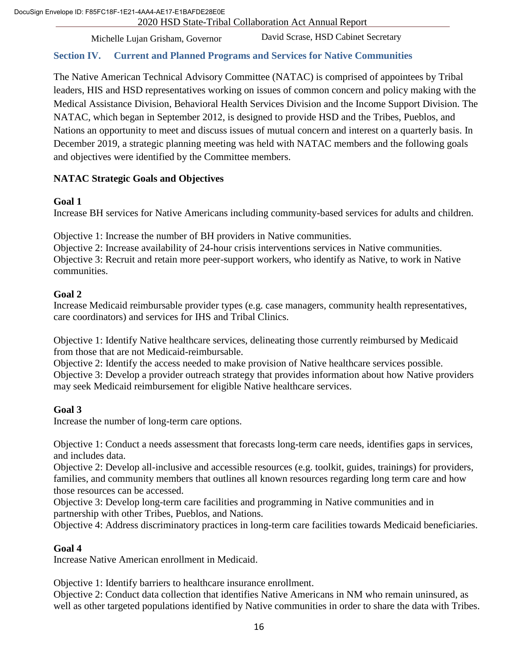Michelle Lujan Grisham, Governor

David Scrase, HSD Cabinet Secretary

# **Section IV. Current and Planned Programs and Services for Native Communities**

leaders, HIS and HSD representatives working on issues of common concern and policy making with the The Native American Technical Advisory Committee (NATAC) is comprised of appointees by Tribal Medical Assistance Division, Behavioral Health Services Division and the Income Support Division. The NATAC, which began in September 2012, is designed to provide HSD and the Tribes, Pueblos, and Nations an opportunity to meet and discuss issues of mutual concern and interest on a quarterly basis. In December 2019, a strategic planning meeting was held with NATAC members and the following goals and objectives were identified by the Committee members.

# **NATAC Strategic Goals and Objectives**

#### **Goal 1**

Increase BH services for Native Americans including community-based services for adults and children.

Objective 1: Increase the number of BH providers in Native communities.

Objective 2: Increase availability of 24-hour crisis interventions services in Native communities. Objective 3: Recruit and retain more peer-support workers, who identify as Native, to work in Native communities.

#### **Goal 2**

Increase Medicaid reimbursable provider types (e.g. case managers, community health representatives, care coordinators) and services for IHS and Tribal Clinics.

Objective 1: Identify Native healthcare services, delineating those currently reimbursed by Medicaid from those that are not Medicaid-reimbursable.

Objective 2: Identify the access needed to make provision of Native healthcare services possible. Objective 3: Develop a provider outreach strategy that provides information about how Native providers may seek Medicaid reimbursement for eligible Native healthcare services.

# **Goal 3**

Increase the number of long-term care options.

Objective 1: Conduct a needs assessment that forecasts long-term care needs, identifies gaps in services, and includes data.

Objective 2: Develop all-inclusive and accessible resources (e.g. toolkit, guides, trainings) for providers, families, and community members that outlines all known resources regarding long term care and how those resources can be accessed.

Objective 3: Develop long-term care facilities and programming in Native communities and in partnership with other Tribes, Pueblos, and Nations.

Objective 4: Address discriminatory practices in long-term care facilities towards Medicaid beneficiaries.

# **Goal 4**

Increase Native American enrollment in Medicaid.

Objective 1: Identify barriers to healthcare insurance enrollment.

Objective 2: Conduct data collection that identifies Native Americans in NM who remain uninsured, as well as other targeted populations identified by Native communities in order to share the data with Tribes.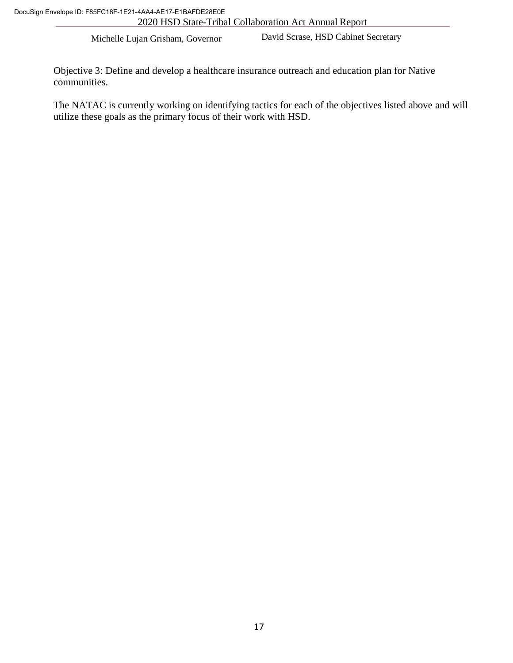David Scrase, HSD Cabinet Secretary

communities. Objective 3: Define and develop a healthcare insurance outreach and education plan for Native

The NATAC is currently working on identifying tactics for each of the objectives listed above and will utilize these goals as the primary focus of their work with HSD.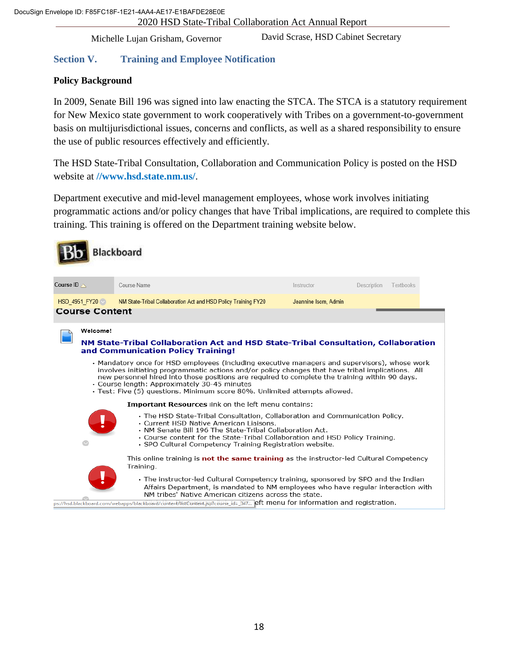David Scrase, HSD Cabinet Secretary

# **Section V. Training and Employee Notification**

# Policy Backgroun<mark>d</mark>

In 2009, Senate Bill 196 was signed into law enacting the STCA. The STCA is a statutory requirement for New Mexico state government to work cooperatively with Tribes on a government-to-government basis on multijurisdictional issues, concerns and conflicts, as well as a shared responsibility to ensure the use of public resources effectively and efficiently.

The HSD State-Tribal Consultation, Collaboration and Communication Policy is posted on the HSD website at **/[/www.hsd.state.nm.us/](http://www.hsd.state.nm.us/)**.

Department executive and mid-level management employees, whose work involves initiating programmatic actions and/or policy changes that have Tribal implications, are required to complete this training. This training is offered on the Department training website below.

|                       |                                        | Blackboard                                                                                                                                                                                                                                                                                                                                                                                                                                                                                                                                                                                                                                                                                                   |                      |             |           |  |
|-----------------------|----------------------------------------|--------------------------------------------------------------------------------------------------------------------------------------------------------------------------------------------------------------------------------------------------------------------------------------------------------------------------------------------------------------------------------------------------------------------------------------------------------------------------------------------------------------------------------------------------------------------------------------------------------------------------------------------------------------------------------------------------------------|----------------------|-------------|-----------|--|
| Course ID $\triangle$ |                                        | Course Name                                                                                                                                                                                                                                                                                                                                                                                                                                                                                                                                                                                                                                                                                                  | Instructor           | Description | Textbooks |  |
|                       | HSD_4951_FY20<br><b>Course Content</b> | NM State-Tribal Collaboration Act and HSD Policy Training FY20                                                                                                                                                                                                                                                                                                                                                                                                                                                                                                                                                                                                                                               | Jeannine Isom, Admin |             |           |  |
|                       | Welcome!                               | NM State-Tribal Collaboration Act and HSD State-Tribal Consultation, Collaboration<br>and Communication Policy Training!<br>• Mandatory once for HSD employees (including executive managers and supervisors), whose work<br>involves initiating programmatic actions and/or policy changes that have tribal implications. All<br>new personnel hired into those positions are required to complete the training within 90 days.<br>• Course length: Approximately 30-45 minutes<br>· Test: Five (5) questions. Minimum score 80%. Unlimited attempts allowed.<br><b>Important Resources link on the left menu contains:</b><br>• The HSD State-Tribal Consultation, Collaboration and Communication Policy. |                      |             |           |  |
|                       |                                        | • Current HSD Native American Liaisons.<br>• NM Senate Bill 196 The State-Tribal Collaboration Act.<br>• Course content for the State-Tribal Collaboration and HSD Policy Training.<br>· SPO Cultural Competency Training Registration website.<br>This online training is <b>not the same training</b> as the instructor-led Cultural Competency<br>Training.                                                                                                                                                                                                                                                                                                                                               |                      |             |           |  |
|                       |                                        | • The instructor-led Cultural Competency training, sponsored by SPO and the Indian<br>Affairs Department, is mandated to NM employees who have regular interaction with<br>NM tribes' Native American citizens across the state.<br>ps://hsd.blackboard.com/webapps/blackboard/content/listContent.jsp?course_id=_347 eft menu for information and registration.                                                                                                                                                                                                                                                                                                                                             |                      |             |           |  |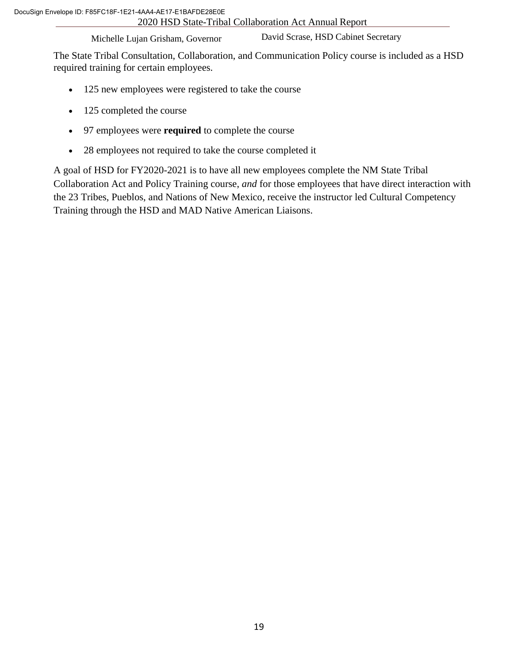David Scrase, HSD Cabinet Secretary

The State Tribal Consultation, Collaboration, and Communication Policy course is included as a HSD required training for certain employees.

- 125 new employees were registered to take the course
- 125 completed the course
- 97 employees were **required** to complete the course
- 28 employees not required to take the course completed it

A goal of HSD for FY2020-2021 is to have all new employees complete the NM State Tribal Collaboration Act and Policy Training course, *and* for those employees that have direct interaction with the 23 Tribes, Pueblos, and Nations of New Mexico, receive the instructor led Cultural Competency Training through the HSD and MAD Native American Liaisons.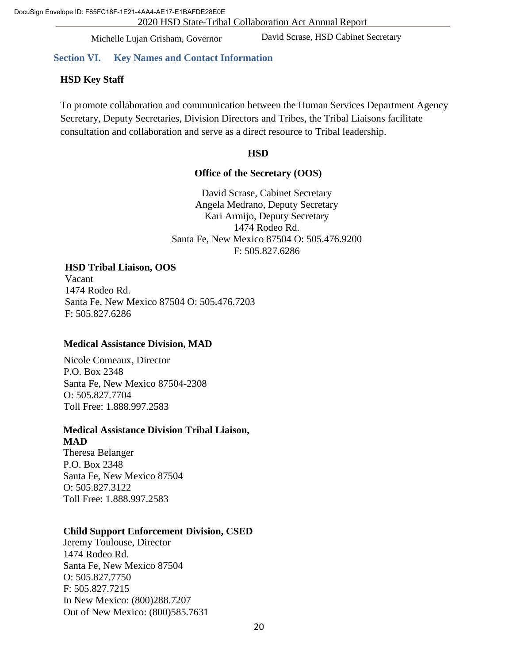David Scrase, HSD Cabinet Secretary

#### **Section VI. Key Names and Contact Information**

#### vernor **HSD Key Staff**

To promote collaboration and communication between the Human Services Department Agency Secretary, Deputy Secretaries, Division Directors and Tribes, the Tribal Liaisons facilitate consultation and collaboration and serve as a direct resource to Tribal leadership.

#### **HSD**

#### **Office of the Secretary (OOS)**

David Scrase, Cabinet Secretary Angela Medrano, Deputy Secretary Kari Armijo, Deputy Secretary 1474 Rodeo Rd. Santa Fe, New Mexico 87504 O: 505.476.9200 F: 505.827.6286

#### **HSD Tribal Liaison, OOS**

Vacant 1474 Rodeo Rd. Santa Fe, New Mexico 87504 O: 505.476.7203 F: 505.827.6286

#### **Medical Assistance Division, MAD**

Nicole Comeaux, Director P.O. Box 2348 Santa Fe, New Mexico 87504-2308 O: 505.827.7704 Toll Free: 1.888.997.2583

# **Medical Assistance Division Tribal Liaison,**

**MAD** Theresa Belanger P.O. Box 2348 Santa Fe, New Mexico 87504 O: 505.827.3122 Toll Free: 1.888.997.2583

#### **Child Support Enforcement Division, CSED**

Jeremy Toulouse, Director 1474 Rodeo Rd. Santa Fe, New Mexico 87504 O: 505.827.7750 F: 505.827.7215 In New Mexico: (800)288.7207 Out of New Mexico: (800)585.7631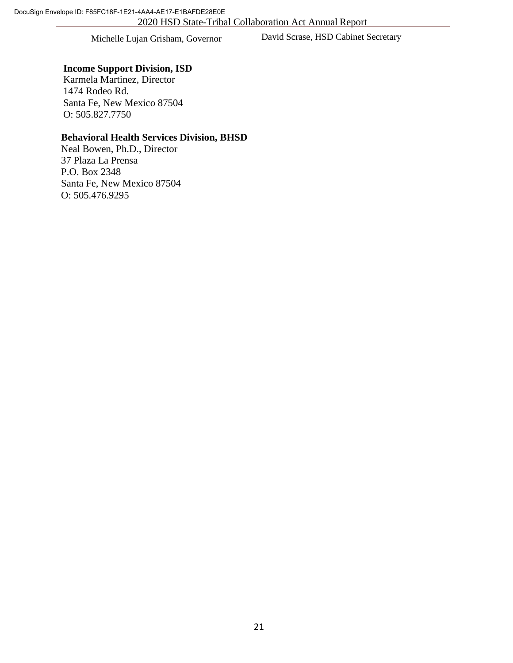David Scrase, HSD Cabinet Secretary

# **Income Support Division, ISD**

1474 Rodeo Rd. Karmela Martinez, Director Santa Fe, New Mexico 87504 O: 505.827.7750

#### **Behavioral Health Services Division, BHSD**

Neal Bowen, Ph.D., Director 37 Plaza La Prensa P.O. Box 2348 Santa Fe, New Mexico 87504 O: 505.476.9295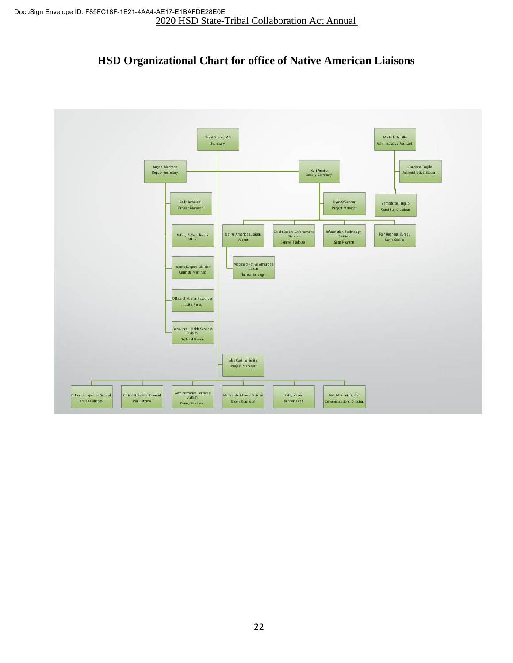# **HSD Organizational Chart for office of Native American Liaisons**

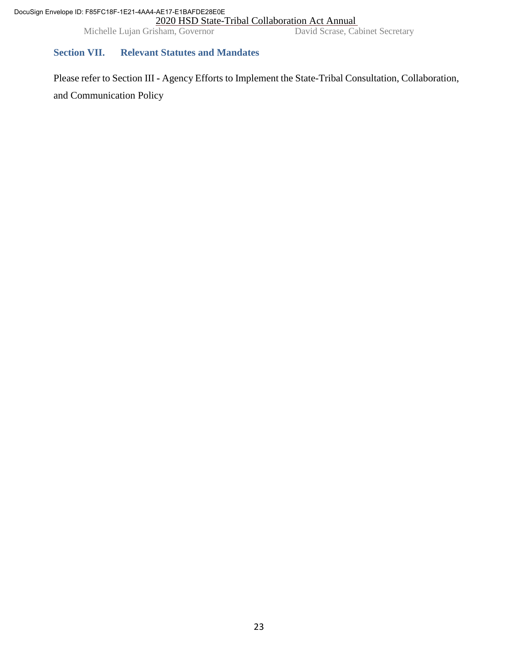Michelle Lujan Grisham, Governor David Scrase, Cabinet Secretary

# **Section VII. Relevant Statutes and Mandates**

Please refer to Section III **-** Agency Efforts to Implement the State-Tribal Consultation, Collaboration, and Communication Policy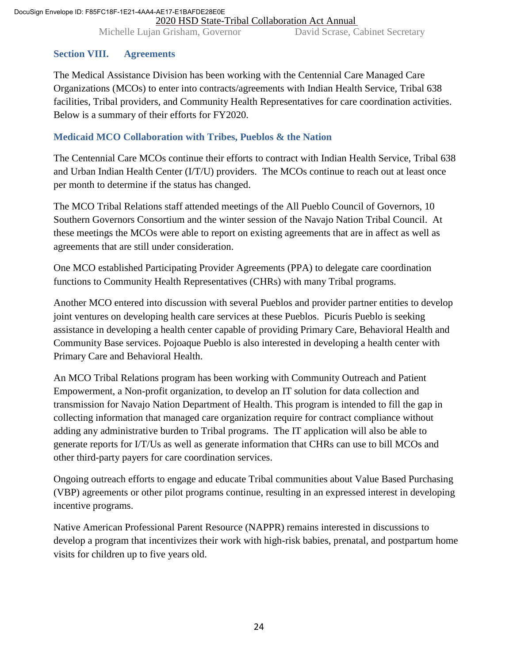ReportMichelle Lujan Grisham, Governor David Scrase, Cabinet Secretary

#### **Section VIII. Agreements**

The Medical Assistance Division has been working with the Centennial Care Managed Care Organizations (MCOs) to enter into contracts/agreements with Indian Health Service, Tribal 638 facilities, Tribal providers, and Community Health Representatives for care coordination activities. Below is a summary of their efforts for FY2020.

#### **Medicaid MCO Collaboration with Tribes, Pueblos & the Nation**

The Centennial Care MCOs continue their efforts to contract with Indian Health Service, Tribal 638 and Urban Indian Health Center (I/T/U) providers. The MCOs continue to reach out at least once per month to determine if the status has changed.

The MCO Tribal Relations staff attended meetings of the All Pueblo Council of Governors, 10 Southern Governors Consortium and the winter session of the Navajo Nation Tribal Council. At these meetings the MCOs were able to report on existing agreements that are in affect as well as agreements that are still under consideration.

One MCO established Participating Provider Agreements (PPA) to delegate care coordination functions to Community Health Representatives (CHRs) with many Tribal programs.

Another MCO entered into discussion with several Pueblos and provider partner entities to develop joint ventures on developing health care services at these Pueblos. Picuris Pueblo is seeking assistance in developing a health center capable of providing Primary Care, Behavioral Health and Community Base services. Pojoaque Pueblo is also interested in developing a health center with Primary Care and Behavioral Health.

An MCO Tribal Relations program has been working with Community Outreach and Patient Empowerment, a Non-profit organization, to develop an IT solution for data collection and transmission for Navajo Nation Department of Health. This program is intended to fill the gap in collecting information that managed care organization require for contract compliance without adding any administrative burden to Tribal programs. The IT application will also be able to generate reports for I/T/Us as well as generate information that CHRs can use to bill MCOs and other third-party payers for care coordination services.

Ongoing outreach efforts to engage and educate Tribal communities about Value Based Purchasing (VBP) agreements or other pilot programs continue, resulting in an expressed interest in developing incentive programs.

Native American Professional Parent Resource (NAPPR) remains interested in discussions to develop a program that incentivizes their work with high-risk babies, prenatal, and postpartum home visits for children up to five years old.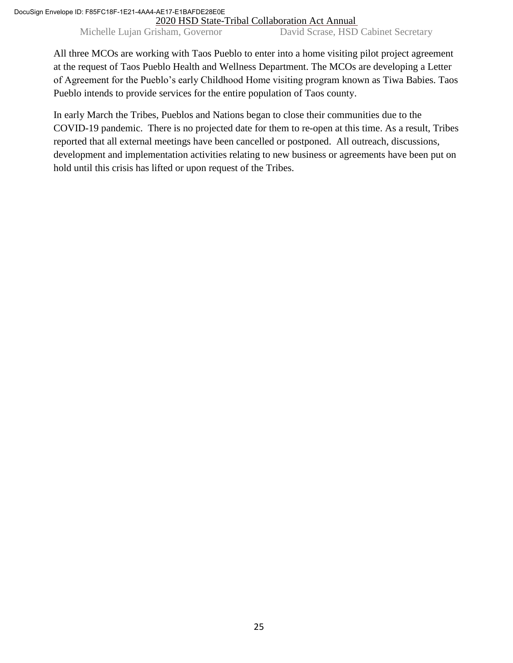Michelle Lujan Grisham, Governor David Scrase, HSD Cabinet Secretary

All three MCOs are working with Taos Pueblo to enter into a home visiting pilot project agreement at the request of Taos Pueblo Health and Wellness Department. The MCOs are developing a Letter of Agreement for the Pueblo's early Childhood Home visiting program known as Tiwa Babies. Taos Pueblo intends to provide services for the entire population of Taos county.

In early March the Tribes, Pueblos and Nations began to close their communities due to the COVID-19 pandemic. There is no projected date for them to re-open at this time. As a result, Tribes reported that all external meetings have been cancelled or postponed. All outreach, discussions, development and implementation activities relating to new business or agreements have been put on hold until this crisis has lifted or upon request of the Tribes.